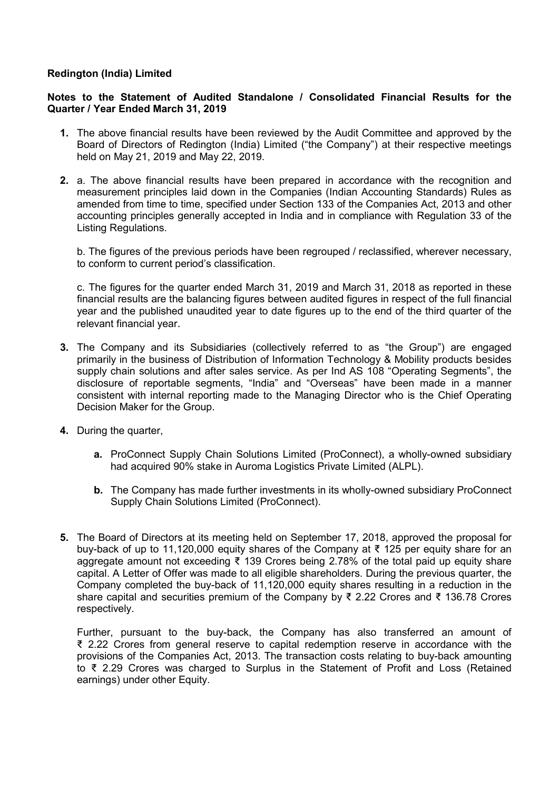## Redington (India) Limited

## Notes to the Statement of Audited Standalone / Consolidated Financial Results for the Quarter / Year Ended March 31, 2019

- 1. The above financial results have been reviewed by the Audit Committee and approved by the Board of Directors of Redington (India) Limited ("the Company") at their respective meetings held on May 21, 2019 and May 22, 2019.
- 2. a. The above financial results have been prepared in accordance with the recognition and measurement principles laid down in the Companies (Indian Accounting Standards) Rules as amended from time to time, specified under Section 133 of the Companies Act, 2013 and other accounting principles generally accepted in India and in compliance with Regulation 33 of the Listing Regulations.

b. The figures of the previous periods have been regrouped / reclassified, wherever necessary, to conform to current period's classification.

c. The figures for the quarter ended March 31, 2019 and March 31, 2018 as reported in these financial results are the balancing figures between audited figures in respect of the full financial year and the published unaudited year to date figures up to the end of the third quarter of the relevant financial year.

- 3. The Company and its Subsidiaries (collectively referred to as "the Group") are engaged primarily in the business of Distribution of Information Technology & Mobility products besides supply chain solutions and after sales service. As per Ind AS 108 "Operating Segments", the disclosure of reportable segments, "India" and "Overseas" have been made in a manner consistent with internal reporting made to the Managing Director who is the Chief Operating Decision Maker for the Group.
- 4. During the quarter,
	- a. ProConnect Supply Chain Solutions Limited (ProConnect), a wholly-owned subsidiary had acquired 90% stake in Auroma Logistics Private Limited (ALPL).
	- b. The Company has made further investments in its wholly-owned subsidiary ProConnect Supply Chain Solutions Limited (ProConnect).
- 5. The Board of Directors at its meeting held on September 17, 2018, approved the proposal for buy-back of up to 11,120,000 equity shares of the Company at ₹ 125 per equity share for an aggregate amount not exceeding ₹ 139 Crores being 2.78% of the total paid up equity share capital. A Letter of Offer was made to all eligible shareholders. During the previous quarter, the Company completed the buy-back of 11,120,000 equity shares resulting in a reduction in the share capital and securities premium of the Company by ₹ 2.22 Crores and ₹ 136.78 Crores respectively.

Further, pursuant to the buy-back, the Company has also transferred an amount of ₹ 2.22 Crores from general reserve to capital redemption reserve in accordance with the provisions of the Companies Act, 2013. The transaction costs relating to buy-back amounting to ₹ 2.29 Crores was charged to Surplus in the Statement of Profit and Loss (Retained earnings) under other Equity.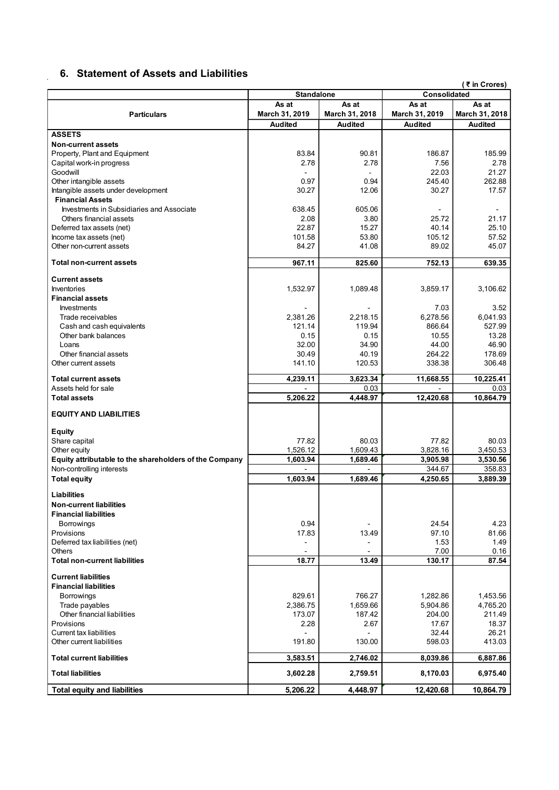## 6. Statement of Assets and Liabilities

 $\mathbf{r}$ 

|                                                                        | 6. Statement of Assets and Liabilities |                                      |                                  | (₹ in Crores)                    |
|------------------------------------------------------------------------|----------------------------------------|--------------------------------------|----------------------------------|----------------------------------|
|                                                                        | <b>Standalone</b><br>As at             | As at                                | Consolidated<br>As at            | As at                            |
| <b>Particulars</b>                                                     | March 31, 2019<br><b>Audited</b>       | March 31, 2018<br><b>Audited</b>     | March 31, 2019<br><b>Audited</b> | March 31, 2018<br><b>Audited</b> |
| <b>ASSETS</b>                                                          |                                        |                                      |                                  |                                  |
| <b>Non-current assets</b><br>Property, Plant and Equipment             | 83.84                                  | 90.81                                | 186.87                           | 185.99                           |
| Capital work-in progress<br>Goodwill                                   | 2.78                                   | 2.78<br>$\sim$                       | 7.56<br>22.03                    | 2.78<br>21.27                    |
| Other intangible assets<br>Intangible assets under development         | 0.97<br>30.27                          | 0.94<br>12.06                        | 245.40<br>30.27                  | 262.88<br>17.57                  |
| <b>Financial Assets</b>                                                |                                        |                                      |                                  |                                  |
| Investments in Subsidiaries and Associate<br>Others financial assets   | 638.45<br>2.08                         | 605.06<br>3.80                       | 25.72                            | $\blacksquare$<br>21.17          |
| Deferred tax assets (net)<br>Income tax assets (net)                   | 22.87<br>101.58                        | 15.27<br>53.80                       | 40.14<br>105.12                  | 25.10<br>57.52                   |
| Other non-current assets                                               | 84.27                                  | 41.08                                | 89.02                            | 45.07                            |
| <b>Total non-current assets</b>                                        | 967.11                                 | 825.60                               | 752.13                           | 639.35                           |
| <b>Current assets</b>                                                  |                                        |                                      |                                  |                                  |
| Inventories<br><b>Financial assets</b>                                 | 1,532.97                               | 1,089.48                             | 3,859.17                         | 3,106.62                         |
| Investments<br>Trade receivables                                       | 2,381.26                               | $\overline{\phantom{a}}$<br>2,218.15 | 7.03<br>6,278.56                 | 3.52<br>6,041.93                 |
| Cash and cash equivalents                                              | 121.14                                 | 119.94                               | 866.64                           | 527.99                           |
| Other bank balances<br>Loans                                           | 0.15<br>32.00                          | 0.15<br>34.90                        | 10.55<br>44.00                   | 13.28<br>46.90                   |
| Other financial assets<br>Other current assets                         | 30.49<br>141.10                        | 40.19<br>120.53                      | 264.22<br>338.38                 | 178.69<br>306.48                 |
| <b>Total current assets</b>                                            | 4,239.11                               | 3,623.34                             | 11,668.55                        | 10,225.41                        |
| Assets held for sale                                                   |                                        | 0.03                                 |                                  | 0.03                             |
| <b>Total assets</b>                                                    | 5,206.22                               | 4,448.97                             | 12,420.68                        | 10,864.79                        |
| <b>EQUITY AND LIABILITIES</b>                                          |                                        |                                      |                                  |                                  |
| <b>Equity</b><br>Share capital                                         | 77.82                                  | 80.03                                | 77.82                            | 80.03                            |
| Other equity<br>Equity attributable to the shareholders of the Company | 1,526.12<br>1,603.94                   | 1,609.43<br>1,689.46                 | 3,828.16<br>3,905.98             | 3,450.53<br>3,530.56             |
| Non-controlling interests                                              |                                        |                                      | 344.67                           | 358.83                           |
| <b>Total equity</b>                                                    | 1,603.94                               | 1,689.46                             | 4,250.65                         | 3,889.39                         |
| Liabilities<br><b>Non-current liabilities</b>                          |                                        |                                      |                                  |                                  |
| <b>Financial liabilities</b><br>Borrowings                             | 0.94                                   |                                      | 24.54                            | 4.23                             |
| Provisions                                                             | 17.83                                  | 13.49                                | 97.10                            | 81.66<br>1.49                    |
| Deferred tax liabilities (net)<br>Others                               | $\overline{\phantom{a}}$               | $\overline{\phantom{a}}$             | 1.53<br>7.00                     | 0.16                             |
| <b>Total non-current liabilities</b>                                   | 18.77                                  | 13.49                                | 130.17                           | 87.54                            |
| <b>Current liabilities</b><br><b>Financial liabilities</b>             |                                        |                                      |                                  |                                  |
| Borrowings<br>Trade payables                                           | 829.61<br>2,386.75                     | 766.27<br>1,659.66                   | 1,282.86<br>5,904.86             | 1,453.56<br>4,765.20             |
| Other financial liabilities                                            | 173.07                                 | 187.42                               | 204.00                           | 211.49                           |
| Provisions<br>Current tax liabilities                                  | 2.28                                   | 2.67                                 | 17.67<br>32.44                   | 18.37<br>26.21                   |
| Other current liabilities                                              | 191.80                                 | 130.00                               | 598.03                           | 413.03                           |
| <b>Total current liabilities</b>                                       | 3,583.51                               | 2,746.02                             | 8,039.86                         | 6,887.86                         |
| <b>Total liabilities</b>                                               | 3,602.28                               | 2,759.51                             | 8,170.03                         | 6,975.40                         |
| <b>Total equity and liabilities</b>                                    | 5,206.22                               | 4,448.97                             | 12,420.68                        | 10,864.79                        |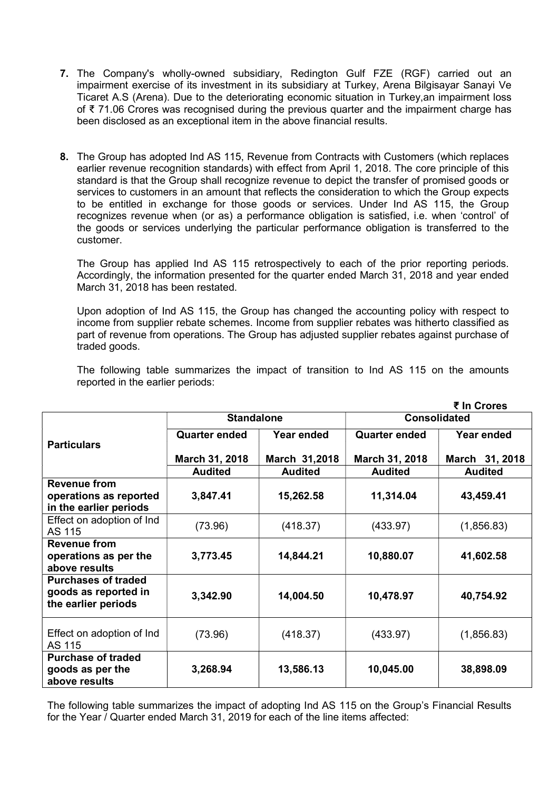- 7. The Company's wholly-owned subsidiary, Redington Gulf FZE (RGF) carried out an impairment exercise of its investment in its subsidiary at Turkey, Arena Bilgisayar Sanayi Ve Ticaret A.S (Arena). Due to the deteriorating economic situation in Turkey,an impairment loss of ₹ 71.06 Crores was recognised during the previous quarter and the impairment charge has been disclosed as an exceptional item in the above financial results.
- 8. The Group has adopted Ind AS 115, Revenue from Contracts with Customers (which replaces earlier revenue recognition standards) with effect from April 1, 2018. The core principle of this standard is that the Group shall recognize revenue to depict the transfer of promised goods or services to customers in an amount that reflects the consideration to which the Group expects to be entitled in exchange for those goods or services. Under Ind AS 115, the Group recognizes revenue when (or as) a performance obligation is satisfied, i.e. when 'control' of the goods or services underlying the particular performance obligation is transferred to the customer.

The Group has applied Ind AS 115 retrospectively to each of the prior reporting periods. Accordingly, the information presented for the quarter ended March 31, 2018 and year ended March 31, 2018 has been restated.

Upon adoption of Ind AS 115, the Group has changed the accounting policy with respect to income from supplier rebate schemes. Income from supplier rebates was hitherto classified as part of revenue from operations. The Group has adjusted supplier rebates against purchase of traded goods.

The following table summarizes the impact of transition to Ind AS 115 on the amounts reported in the earlier periods:

|                                                                           |                      |                |                      | ₹ In Crores    |  |
|---------------------------------------------------------------------------|----------------------|----------------|----------------------|----------------|--|
|                                                                           | <b>Standalone</b>    |                | <b>Consolidated</b>  |                |  |
| <b>Particulars</b>                                                        | <b>Quarter ended</b> | Year ended     | <b>Quarter ended</b> | Year ended     |  |
|                                                                           | March 31, 2018       | March 31,2018  | March 31, 2018       | March 31, 2018 |  |
|                                                                           | <b>Audited</b>       | <b>Audited</b> | <b>Audited</b>       | <b>Audited</b> |  |
| <b>Revenue from</b>                                                       |                      |                |                      |                |  |
| operations as reported<br>in the earlier periods                          | 3,847.41             | 15,262.58      | 11,314.04            | 43,459.41      |  |
| Effect on adoption of Ind<br>AS 115                                       | (73.96)              | (418.37)       | (433.97)             | (1,856.83)     |  |
| <b>Revenue from</b><br>operations as per the<br>above results             | 3,773.45             | 14,844.21      | 10,880.07            | 41,602.58      |  |
| <b>Purchases of traded</b><br>goods as reported in<br>the earlier periods | 3,342.90             | 14,004.50      | 10,478.97            | 40,754.92      |  |
| Effect on adoption of Ind<br>AS 115                                       | (73.96)              |                | (433.97)             | (1,856.83)     |  |
| <b>Purchase of traded</b><br>goods as per the<br>above results            | 3,268.94             | 13,586.13      | 10,045.00            | 38,898.09      |  |

The following table summarizes the impact of adopting Ind AS 115 on the Group's Financial Results for the Year / Quarter ended March 31, 2019 for each of the line items affected: